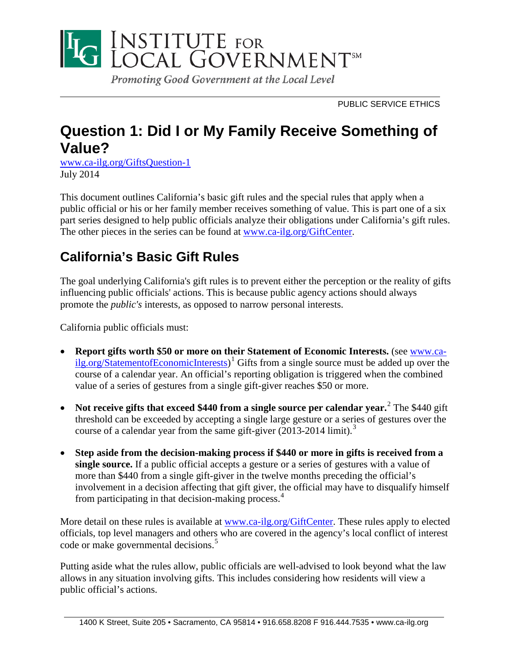

PUBLIC SERVICE ETHICS

# **Question 1: Did I or My Family Receive Something of Value?**

[www.ca-ilg.org/GiftsQuestion-1](http://www.ca-ilg.org/GiftsQuestion-1) July 2014

This document outlines California's basic gift rules and the special rules that apply when a public official or his or her family member receives something of value. This is part one of a six part series designed to help public officials analyze their obligations under California's gift rules. The other pieces in the series can be found at [www.ca-ilg.org/GiftCenter.](http://www.ca-ilg.org/GiftCenter)

# **California's Basic Gift Rules**

The goal underlying California's gift rules is to prevent either the perception or the reality of gifts influencing public officials' actions. This is because public agency actions should always promote the *public's* interests*,* as opposed to narrow personal interests.

California public officials must:

- **Report gifts worth \$50 or more on their Statement of Economic Interests.** (see [www.ca](http://www.ca-ilg.org/StatementofEconomicInterests)[ilg.org/StatementofEconomicInterests\)](http://www.ca-ilg.org/StatementofEconomicInterests)<sup>[1](#page-5-0)</sup> Gifts from a single source must be added up over the course of a calendar year. An official's reporting obligation is triggered when the combined value of a series of gestures from a single gift-giver reaches \$50 or more.
- **Not receive gifts that exceed \$440 from a single source per calendar year.**[2](#page-5-1) The \$440 gift threshold can be exceeded by accepting a single large gesture or a series of gestures over the course of a calendar year from the same gift-giver (2013-2014 limit). [3](#page-5-2)
- **Step aside from the decision-making process if \$440 or more in gifts is received from a single source.** If a public official accepts a gesture or a series of gestures with a value of more than \$440 from a single gift-giver in the twelve months preceding the official's involvement in a decision affecting that gift giver, the official may have to disqualify himself from participating in that decision-making process.<sup>[4](#page-5-3)</sup>

More detail on these rules is available at [www.ca-ilg.org/GiftCenter.](http://www.ca-ilg.org/GiftCenter) These rules apply to elected officials, top level managers and others who are covered in the agency's local conflict of interest code or make governmental decisions.<sup>[5](#page-5-4)</sup>

Putting aside what the rules allow, public officials are well-advised to look beyond what the law allows in any situation involving gifts. This includes considering how residents will view a public official's actions.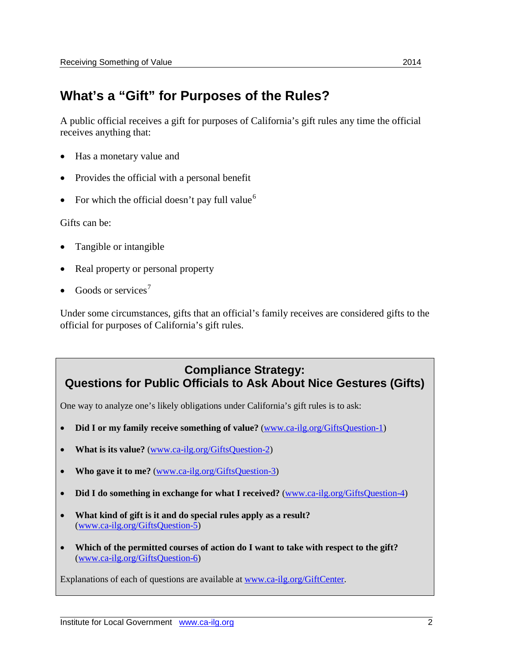#### **What's a "Gift" for Purposes of the Rules?**

A public official receives a gift for purposes of California's gift rules any time the official receives anything that:

- Has a monetary value and
- Provides the official with a personal benefit
- For which the official doesn't pay full value<sup>[6](#page-5-5)</sup>

Gifts can be:

- Tangible or intangible
- Real property or personal property
- Goods or services<sup>[7](#page-5-6)</sup>

Under some circumstances, gifts that an official's family receives are considered gifts to the official for purposes of California's gift rules.

#### **Compliance Strategy: Questions for Public Officials to Ask About Nice Gestures (Gifts)**

One way to analyze one's likely obligations under California's gift rules is to ask:

- **Did I or my family receive something of value?** [\(www.ca-ilg.org/GiftsQuestion-1\)](http://www.ca-ilg.org/GiftsQuestion-1)
- **What is its value?** [\(www.ca-ilg.org/GiftsQuestion-2\)](http://www.ca-ilg.org/GiftsQuestion-2)
- **Who gave it to me?** [\(www.ca-ilg.org/GiftsQuestion-3\)](http://www.ca-ilg.org/GiftsQuestion-3)
- **Did I do something in exchange for what I received?** [\(www.ca-ilg.org/GiftsQuestion-4\)](http://www.ca-ilg.org/GiftsQuestion-4)
- **What kind of gift is it and do special rules apply as a result?** [\(www.ca-ilg.org/GiftsQuestion-5\)](http://www.ca-ilg.org/GiftsQuestion-5)
- **Which of the permitted courses of action do I want to take with respect to the gift?** [\(www.ca-ilg.org/GiftsQuestion-6\)](http://www.ca-ilg.org/GiftsQuestion-6)

Explanations of each of questions are available at [www.ca-ilg.org/GiftCenter.](http://www.ca-ilg.org/GiftCenter)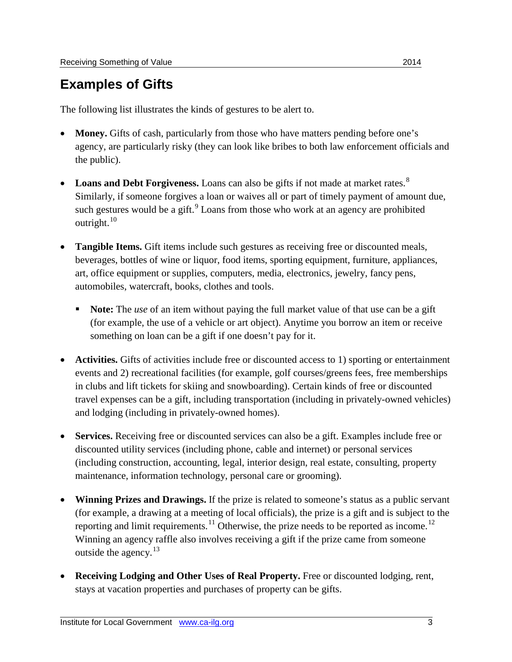# **Examples of Gifts**

The following list illustrates the kinds of gestures to be alert to.

- **Money.** Gifts of cash, particularly from those who have matters pending before one's agency, are particularly risky (they can look like bribes to both law enforcement officials and the public).
- **Loans and Debt Forgiveness.** Loans can also be gifts if not made at market rates.<sup>[8](#page-5-7)</sup> Similarly, if someone forgives a loan or waives all or part of timely payment of amount due, such gestures would be a gift.<sup>[9](#page-5-8)</sup> Loans from those who work at an agency are prohibited outright. $10$
- **Tangible Items.** Gift items include such gestures as receiving free or discounted meals, beverages, bottles of wine or liquor, food items, sporting equipment, furniture, appliances, art, office equipment or supplies, computers, media, electronics, jewelry, fancy pens, automobiles, watercraft, books, clothes and tools.
	- **Note:** The *use* of an item without paying the full market value of that use can be a gift (for example, the use of a vehicle or art object). Anytime you borrow an item or receive something on loan can be a gift if one doesn't pay for it.
- **Activities.** Gifts of activities include free or discounted access to 1) sporting or entertainment events and 2) recreational facilities (for example, golf courses/greens fees, free memberships in clubs and lift tickets for skiing and snowboarding). Certain kinds of free or discounted travel expenses can be a gift, including transportation (including in privately-owned vehicles) and lodging (including in privately-owned homes).
- **Services.** Receiving free or discounted services can also be a gift. Examples include free or discounted utility services (including phone, cable and internet) or personal services (including construction, accounting, legal, interior design, real estate, consulting, property maintenance, information technology, personal care or grooming).
- **Winning Prizes and Drawings.** If the prize is related to someone's status as a public servant (for example, a drawing at a meeting of local officials), the prize is a gift and is subject to the reporting and limit requirements.<sup>[11](#page-5-10)</sup> Otherwise, the prize needs to be reported as income.<sup>[12](#page-5-11)</sup> Winning an agency raffle also involves receiving a gift if the prize came from someone outside the agency.[13](#page-5-12)
- **Receiving Lodging and Other Uses of Real Property.** Free or discounted lodging, rent, stays at vacation properties and purchases of property can be gifts.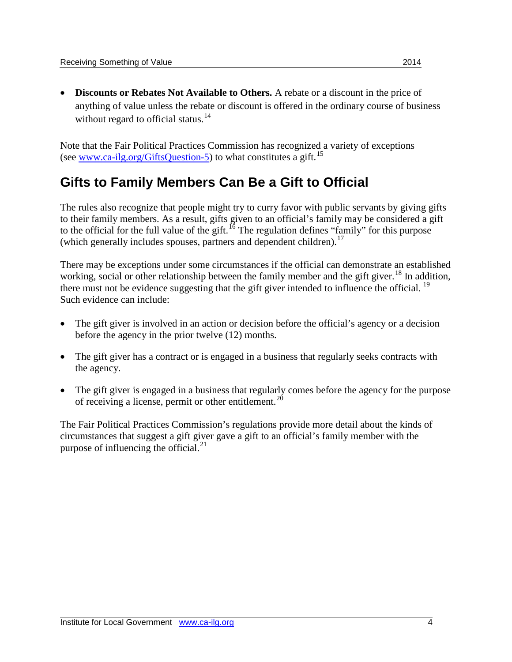• **Discounts or Rebates Not Available to Others.** A rebate or a discount in the price of anything of value unless the rebate or discount is offered in the ordinary course of business without regard to official status.<sup>[14](#page-5-13)</sup>

Note that the Fair Political Practices Commission has recognized a variety of exceptions (see [www.ca-ilg.org/GiftsQuestion-5\)](http://www.ca-ilg.org/GiftsQuestion-5) to what constitutes a gift.<sup>[15](#page-5-14)</sup>

# **Gifts to Family Members Can Be a Gift to Official**

The rules also recognize that people might try to curry favor with public servants by giving gifts to their family members. As a result, gifts given to an official's family may be considered a gift to the official for the full value of the gift.<sup>[16](#page-5-15)</sup> The regulation defines "family" for this purpose (which generally includes spouses, partners and dependent children).<sup>[17](#page-5-16)</sup>

There may be exceptions under some circumstances if the official can demonstrate an established working, social or other relationship between the family member and the gift giver.<sup>[18](#page-5-17)</sup> In addition, there must not be evidence suggesting that the gift giver intended to influence the official. <sup>[19](#page-5-18)</sup> Such evidence can include:

- The gift giver is involved in an action or decision before the official's agency or a decision before the agency in the prior twelve (12) months.
- The gift giver has a contract or is engaged in a business that regularly seeks contracts with the agency.
- The gift giver is engaged in a business that regularly comes before the agency for the purpose of receiving a license, permit or other entitlement.<sup>[20](#page-5-19)</sup>

The Fair Political Practices Commission's regulations provide more detail about the kinds of circumstances that suggest a gift giver gave a gift to an official's family member with the purpose of influencing the official.<sup>[21](#page-5-20)</sup>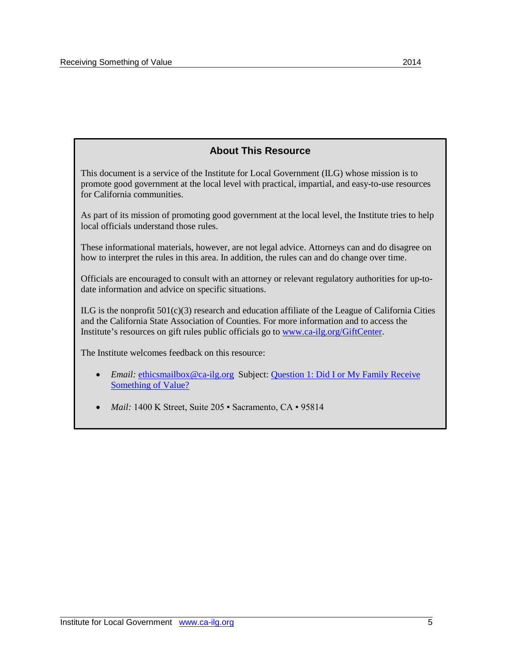#### **About This Resource**

This document is a service of the Institute for Local Government (ILG) whose mission is to promote good government at the local level with practical, impartial, and easy-to-use resources for California communities.

As part of its mission of promoting good government at the local level, the Institute tries to help local officials understand those rules.

These informational materials, however, are not legal advice. Attorneys can and do disagree on how to interpret the rules in this area. In addition, the rules can and do change over time.

Officials are encouraged to consult with an attorney or relevant regulatory authorities for up-todate information and advice on specific situations.

 $ILG$  is the nonprofit  $501(c)(3)$  research and education affiliate of the League of California Cities and the California State Association of Counties. For more information and to access the Institute's resources on gift rules public officials go t[o www.ca-ilg.org/GiftCenter.](http://www.ca-ilg.org/GiftCenter)

The Institute welcomes feedback on this resource:

- *Email:* [ethicsmailbox@ca-ilg.org](mailto:ethicsmailbox@ca-ilg.org) Subject: Question 1: Did I or My Family Receive [Something of Value?](http://www.ca-ilg.org/GiftsQuestion-1)
- *Mail:* 1400 K Street, Suite 205 Sacramento, CA 95814